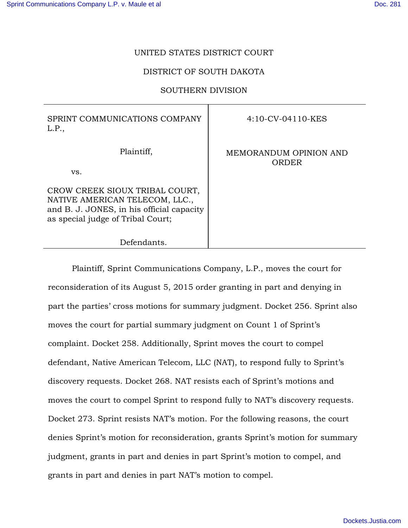# UNITED STATES DISTRICT COURT

# DISTRICT OF SOUTH DAKOTA

# SOUTHERN DIVISION

| SPRINT COMMUNICATIONS COMPANY<br>L.P.,                                                                                                             | $4:10$ -CV-04110-KES            |
|----------------------------------------------------------------------------------------------------------------------------------------------------|---------------------------------|
| Plaintiff,<br>VS.                                                                                                                                  | MEMORANDUM OPINION AND<br>ORDER |
| CROW CREEK SIOUX TRIBAL COURT,<br>NATIVE AMERICAN TELECOM, LLC.,<br>and B. J. JONES, in his official capacity<br>as special judge of Tribal Court; |                                 |
| Defendants.                                                                                                                                        |                                 |

Plaintiff, Sprint Communications Company, L.P., moves the court for reconsideration of its August 5, 2015 order granting in part and denying in part the parties' cross motions for summary judgment. Docket 256. Sprint also moves the court for partial summary judgment on Count 1 of Sprint's complaint. Docket 258. Additionally, Sprint moves the court to compel defendant, Native American Telecom, LLC (NAT), to respond fully to Sprint's discovery requests. Docket 268. NAT resists each of Sprint's motions and moves the court to compel Sprint to respond fully to NAT's discovery requests. Docket 273. Sprint resists NAT's motion. For the following reasons, the court denies Sprint's motion for reconsideration, grants Sprint's motion for summary judgment, grants in part and denies in part Sprint's motion to compel, and grants in part and denies in part NAT's motion to compel.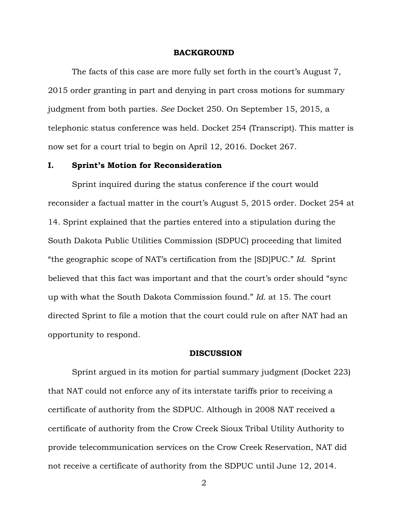### **BACKGROUND**

The facts of this case are more fully set forth in the court's August 7, 2015 order granting in part and denying in part cross motions for summary judgment from both parties. *See* Docket 250. On September 15, 2015, a telephonic status conference was held. Docket 254 (Transcript). This matter is now set for a court trial to begin on April 12, 2016. Docket 267.

## **I. Sprint's Motion for Reconsideration**

Sprint inquired during the status conference if the court would reconsider a factual matter in the court's August 5, 2015 order. Docket 254 at 14. Sprint explained that the parties entered into a stipulation during the South Dakota Public Utilities Commission (SDPUC) proceeding that limited "the geographic scope of NAT's certification from the [SD]PUC." *Id.* Sprint believed that this fact was important and that the court's order should "sync up with what the South Dakota Commission found." *Id.* at 15. The court directed Sprint to file a motion that the court could rule on after NAT had an opportunity to respond.

#### **DISCUSSION**

 Sprint argued in its motion for partial summary judgment (Docket 223) that NAT could not enforce any of its interstate tariffs prior to receiving a certificate of authority from the SDPUC. Although in 2008 NAT received a certificate of authority from the Crow Creek Sioux Tribal Utility Authority to provide telecommunication services on the Crow Creek Reservation, NAT did not receive a certificate of authority from the SDPUC until June 12, 2014.

2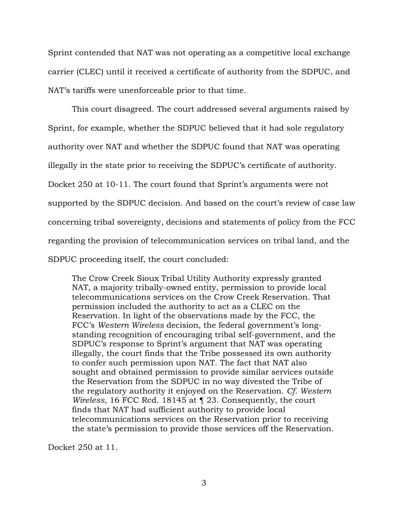Sprint contended that NAT was not operating as a competitive local exchange carrier (CLEC) until it received a certificate of authority from the SDPUC, and NAT's tariffs were unenforceable prior to that time.

 This court disagreed. The court addressed several arguments raised by Sprint, for example, whether the SDPUC believed that it had sole regulatory authority over NAT and whether the SDPUC found that NAT was operating illegally in the state prior to receiving the SDPUC's certificate of authority. Docket 250 at 10-11. The court found that Sprint's arguments were not supported by the SDPUC decision. And based on the court's review of case law concerning tribal sovereignty, decisions and statements of policy from the FCC regarding the provision of telecommunication services on tribal land, and the SDPUC proceeding itself, the court concluded:

The Crow Creek Sioux Tribal Utility Authority expressly granted NAT, a majority tribally-owned entity, permission to provide local telecommunications services on the Crow Creek Reservation. That permission included the authority to act as a CLEC on the Reservation. In light of the observations made by the FCC, the FCC's *Western Wireless* decision, the federal government's longstanding recognition of encouraging tribal self-government, and the SDPUC's response to Sprint's argument that NAT was operating illegally, the court finds that the Tribe possessed its own authority to confer such permission upon NAT. The fact that NAT also sought and obtained permission to provide similar services outside the Reservation from the SDPUC in no way divested the Tribe of the regulatory authority it enjoyed on the Reservation. *Cf. Western Wireless*, 16 FCC Rcd. 18145 at ¶ 23. Consequently, the court finds that NAT had sufficient authority to provide local telecommunications services on the Reservation prior to receiving the state's permission to provide those services off the Reservation.

Docket 250 at 11.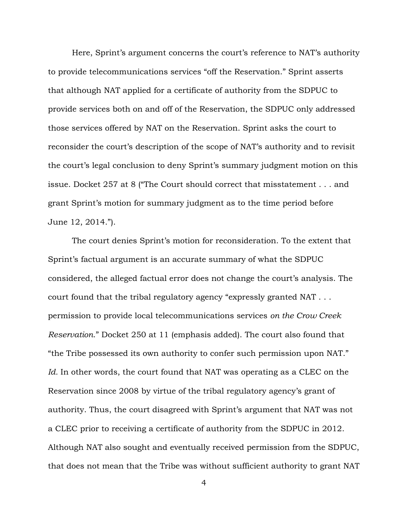Here, Sprint's argument concerns the court's reference to NAT's authority to provide telecommunications services "off the Reservation." Sprint asserts that although NAT applied for a certificate of authority from the SDPUC to provide services both on and off of the Reservation, the SDPUC only addressed those services offered by NAT on the Reservation. Sprint asks the court to reconsider the court's description of the scope of NAT's authority and to revisit the court's legal conclusion to deny Sprint's summary judgment motion on this issue. Docket 257 at 8 ("The Court should correct that misstatement . . . and grant Sprint's motion for summary judgment as to the time period before June 12, 2014.").

The court denies Sprint's motion for reconsideration. To the extent that Sprint's factual argument is an accurate summary of what the SDPUC considered, the alleged factual error does not change the court's analysis. The court found that the tribal regulatory agency "expressly granted NAT . . . permission to provide local telecommunications services *on the Crow Creek Reservation*." Docket 250 at 11 (emphasis added). The court also found that "the Tribe possessed its own authority to confer such permission upon NAT." *Id.* In other words, the court found that NAT was operating as a CLEC on the Reservation since 2008 by virtue of the tribal regulatory agency's grant of authority. Thus, the court disagreed with Sprint's argument that NAT was not a CLEC prior to receiving a certificate of authority from the SDPUC in 2012. Although NAT also sought and eventually received permission from the SDPUC, that does not mean that the Tribe was without sufficient authority to grant NAT

4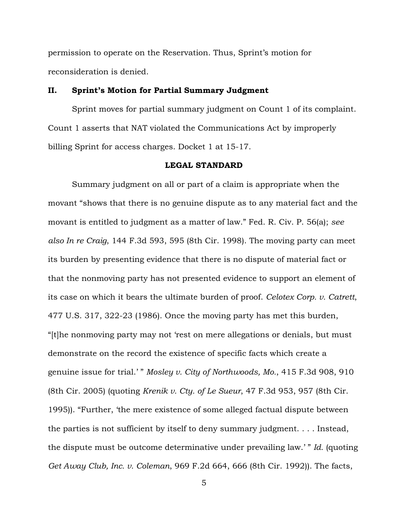permission to operate on the Reservation. Thus, Sprint's motion for reconsideration is denied.

### **II. Sprint's Motion for Partial Summary Judgment**

 Sprint moves for partial summary judgment on Count 1 of its complaint. Count 1 asserts that NAT violated the Communications Act by improperly billing Sprint for access charges. Docket 1 at 15-17.

# **LEGAL STANDARD**

Summary judgment on all or part of a claim is appropriate when the movant "shows that there is no genuine dispute as to any material fact and the movant is entitled to judgment as a matter of law." Fed. R. Civ. P. 56(a); *see also In re Craig*, 144 F.3d 593, 595 (8th Cir. 1998). The moving party can meet its burden by presenting evidence that there is no dispute of material fact or that the nonmoving party has not presented evidence to support an element of its case on which it bears the ultimate burden of proof. *Celotex Corp. v. Catrett*, 477 U.S. 317, 322-23 (1986). Once the moving party has met this burden, "[t]he nonmoving party may not 'rest on mere allegations or denials, but must demonstrate on the record the existence of specific facts which create a genuine issue for trial.' " *Mosley v. City of Northwoods, Mo.*, 415 F.3d 908, 910 (8th Cir. 2005) (quoting *Krenik v. Cty. of Le Sueur*, 47 F.3d 953, 957 (8th Cir. 1995)). "Further, 'the mere existence of some alleged factual dispute between the parties is not sufficient by itself to deny summary judgment. . . . Instead, the dispute must be outcome determinative under prevailing law.' " *Id.* (quoting *Get Away Club, Inc. v. Coleman*, 969 F.2d 664, 666 (8th Cir. 1992)). The facts,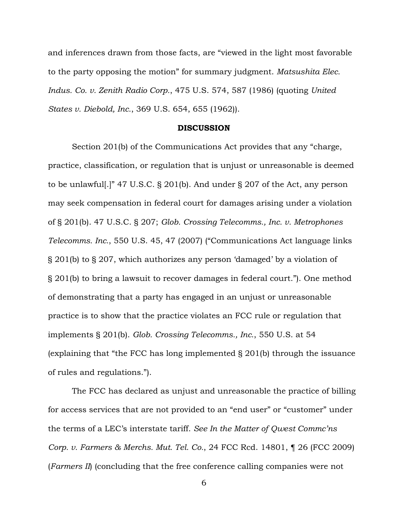and inferences drawn from those facts, are "viewed in the light most favorable to the party opposing the motion" for summary judgment. *Matsushita Elec. Indus. Co. v. Zenith Radio Corp.*, 475 U.S. 574, 587 (1986) (quoting *United States v. Diebold, Inc.*, 369 U.S. 654, 655 (1962)).

#### **DISCUSSION**

Section 201(b) of the Communications Act provides that any "charge, practice, classification, or regulation that is unjust or unreasonable is deemed to be unlawful[.]" 47 U.S.C. § 201(b). And under § 207 of the Act, any person may seek compensation in federal court for damages arising under a violation of § 201(b). 47 U.S.C. § 207; *Glob. Crossing Telecomms., Inc. v. Metrophones Telecomms. Inc.*, 550 U.S. 45, 47 (2007) ("Communications Act language links § 201(b) to § 207, which authorizes any person 'damaged' by a violation of § 201(b) to bring a lawsuit to recover damages in federal court."). One method of demonstrating that a party has engaged in an unjust or unreasonable practice is to show that the practice violates an FCC rule or regulation that implements § 201(b). *Glob. Crossing Telecomms., Inc.*, 550 U.S. at 54 (explaining that "the FCC has long implemented § 201(b) through the issuance of rules and regulations.").

The FCC has declared as unjust and unreasonable the practice of billing for access services that are not provided to an "end user" or "customer" under the terms of a LEC's interstate tariff. *See In the Matter of Qwest Commc'ns Corp. v. Farmers & Merchs. Mut. Tel. Co.*, 24 FCC Rcd. 14801, ¶ 26 (FCC 2009) (*Farmers II*) (concluding that the free conference calling companies were not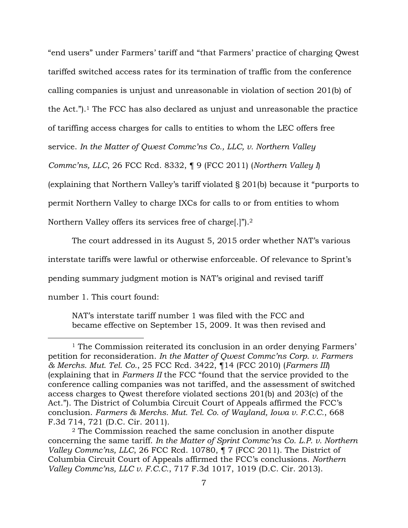"end users" under Farmers' tariff and "that Farmers' practice of charging Qwest tariffed switched access rates for its termination of traffic from the conference calling companies is unjust and unreasonable in violation of section 201(b) of the Act."). <sup>1</sup> The FCC has also declared as unjust and unreasonable the practice of tariffing access charges for calls to entities to whom the LEC offers free service. *In the Matter of Qwest Commc'ns Co., LLC, v. Northern Valley Commc'ns, LLC*, 26 FCC Rcd. 8332, ¶ 9 (FCC 2011) (*Northern Valley I*) (explaining that Northern Valley's tariff violated § 201(b) because it "purports to permit Northern Valley to charge IXCs for calls to or from entities to whom Northern Valley offers its services free of charge[.]").<sup>2</sup>

The court addressed in its August 5, 2015 order whether NAT's various interstate tariffs were lawful or otherwise enforceable. Of relevance to Sprint's pending summary judgment motion is NAT's original and revised tariff number 1. This court found:

NAT's interstate tariff number 1 was filed with the FCC and became effective on September 15, 2009. It was then revised and

 $\overline{a}$ 

<sup>1</sup> The Commission reiterated its conclusion in an order denying Farmers' petition for reconsideration. *In the Matter of Qwest Commc'ns Corp. v. Farmers & Merchs. Mut. Tel. Co.*, 25 FCC Rcd. 3422, ¶14 (FCC 2010) (*Farmers III*) (explaining that in *Farmers II* the FCC "found that the service provided to the conference calling companies was not tariffed, and the assessment of switched access charges to Qwest therefore violated sections 201(b) and 203(c) of the Act."). The District of Columbia Circuit Court of Appeals affirmed the FCC's conclusion. *Farmers & Merchs. Mut. Tel. Co. of Wayland, Iowa v. F.C.C.*, 668 F.3d 714, 721 (D.C. Cir. 2011).

<sup>2</sup> The Commission reached the same conclusion in another dispute concerning the same tariff. *In the Matter of Sprint Commc'ns Co. L.P. v. Northern Valley Commc'ns, LLC, 26 FCC Rcd.* 10780, ¶ 7 (FCC 2011). The District of Columbia Circuit Court of Appeals affirmed the FCC's conclusions. *Northern Valley Commc'ns, LLC v. F.C.C.*, 717 F.3d 1017, 1019 (D.C. Cir. 2013).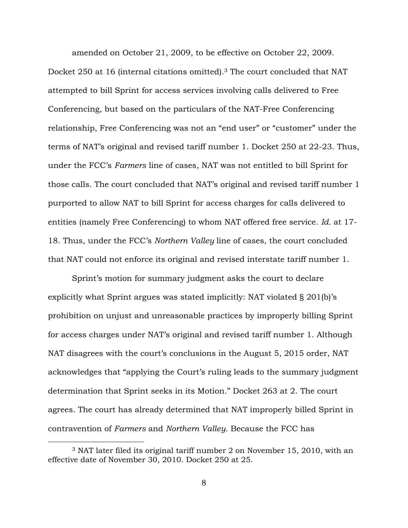amended on October 21, 2009, to be effective on October 22, 2009. Docket 250 at 16 (internal citations omitted).3 The court concluded that NAT attempted to bill Sprint for access services involving calls delivered to Free Conferencing, but based on the particulars of the NAT-Free Conferencing relationship, Free Conferencing was not an "end user" or "customer" under the terms of NAT's original and revised tariff number 1. Docket 250 at 22-23. Thus, under the FCC's *Farmers* line of cases, NAT was not entitled to bill Sprint for those calls. The court concluded that NAT's original and revised tariff number 1 purported to allow NAT to bill Sprint for access charges for calls delivered to entities (namely Free Conferencing) to whom NAT offered free service. *Id.* at 17- 18. Thus, under the FCC's *Northern Valley* line of cases, the court concluded that NAT could not enforce its original and revised interstate tariff number 1.

Sprint's motion for summary judgment asks the court to declare explicitly what Sprint argues was stated implicitly: NAT violated § 201(b)'s prohibition on unjust and unreasonable practices by improperly billing Sprint for access charges under NAT's original and revised tariff number 1. Although NAT disagrees with the court's conclusions in the August 5, 2015 order, NAT acknowledges that "applying the Court's ruling leads to the summary judgment determination that Sprint seeks in its Motion." Docket 263 at 2. The court agrees. The court has already determined that NAT improperly billed Sprint in contravention of *Farmers* and *Northern Valley*. Because the FCC has

 $\overline{a}$ 

<sup>3</sup> NAT later filed its original tariff number 2 on November 15, 2010, with an effective date of November 30, 2010. Docket 250 at 25.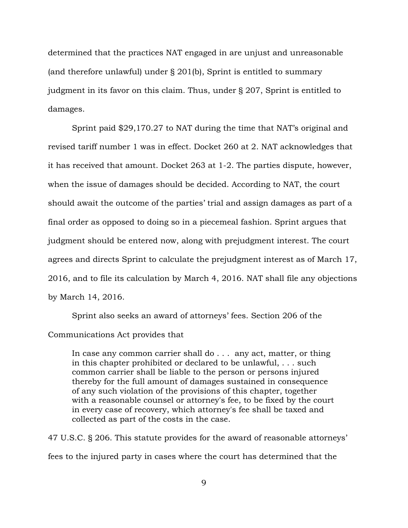determined that the practices NAT engaged in are unjust and unreasonable (and therefore unlawful) under § 201(b), Sprint is entitled to summary judgment in its favor on this claim. Thus, under § 207, Sprint is entitled to damages.

 Sprint paid \$29,170.27 to NAT during the time that NAT's original and revised tariff number 1 was in effect. Docket 260 at 2. NAT acknowledges that it has received that amount. Docket 263 at 1-2. The parties dispute, however, when the issue of damages should be decided. According to NAT, the court should await the outcome of the parties' trial and assign damages as part of a final order as opposed to doing so in a piecemeal fashion. Sprint argues that judgment should be entered now, along with prejudgment interest. The court agrees and directs Sprint to calculate the prejudgment interest as of March 17, 2016, and to file its calculation by March 4, 2016. NAT shall file any objections by March 14, 2016.

Sprint also seeks an award of attorneys' fees. Section 206 of the Communications Act provides that

In case any common carrier shall do . . . any act, matter, or thing in this chapter prohibited or declared to be unlawful, . . . such common carrier shall be liable to the person or persons injured thereby for the full amount of damages sustained in consequence of any such violation of the provisions of this chapter, together with a reasonable counsel or attorney's fee, to be fixed by the court in every case of recovery, which attorney's fee shall be taxed and collected as part of the costs in the case.

47 U.S.C. § 206. This statute provides for the award of reasonable attorneys' fees to the injured party in cases where the court has determined that the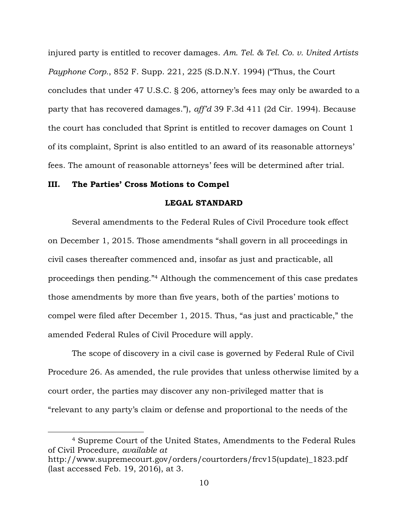injured party is entitled to recover damages. *Am. Tel. & Tel. Co. v. United Artists Payphone Corp.*, 852 F. Supp. 221, 225 (S.D.N.Y. 1994) ("Thus, the Court concludes that under 47 U.S.C. § 206, attorney's fees may only be awarded to a party that has recovered damages."), *aff'd* 39 F.3d 411 (2d Cir. 1994). Because the court has concluded that Sprint is entitled to recover damages on Count 1 of its complaint, Sprint is also entitled to an award of its reasonable attorneys' fees. The amount of reasonable attorneys' fees will be determined after trial.

### **III. The Parties' Cross Motions to Compel**

 $\overline{a}$ 

## **LEGAL STANDARD**

Several amendments to the Federal Rules of Civil Procedure took effect on December 1, 2015. Those amendments "shall govern in all proceedings in civil cases thereafter commenced and, insofar as just and practicable, all proceedings then pending."<sup>4</sup> Although the commencement of this case predates those amendments by more than five years, both of the parties' motions to compel were filed after December 1, 2015. Thus, "as just and practicable," the amended Federal Rules of Civil Procedure will apply.

The scope of discovery in a civil case is governed by Federal Rule of Civil Procedure 26. As amended, the rule provides that unless otherwise limited by a court order, the parties may discover any non-privileged matter that is "relevant to any party's claim or defense and proportional to the needs of the

<sup>4</sup> Supreme Court of the United States, Amendments to the Federal Rules of Civil Procedure, *available at* 

http://www.supremecourt.gov/orders/courtorders/frcv15(update)\_1823.pdf (last accessed Feb. 19, 2016), at 3.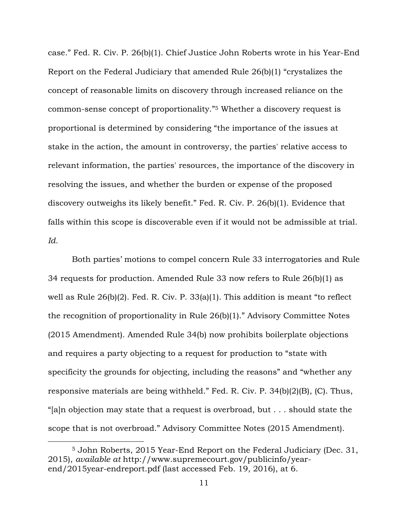case." Fed. R. Civ. P. 26(b)(1). Chief Justice John Roberts wrote in his Year-End Report on the Federal Judiciary that amended Rule 26(b)(1) "crystalizes the concept of reasonable limits on discovery through increased reliance on the common-sense concept of proportionality."<sup>5</sup> Whether a discovery request is proportional is determined by considering "the importance of the issues at stake in the action, the amount in controversy, the parties' relative access to relevant information, the parties' resources, the importance of the discovery in resolving the issues, and whether the burden or expense of the proposed discovery outweighs its likely benefit." Fed. R. Civ. P. 26(b)(1). Evidence that falls within this scope is discoverable even if it would not be admissible at trial. *Id.*

Both parties' motions to compel concern Rule 33 interrogatories and Rule 34 requests for production. Amended Rule 33 now refers to Rule 26(b)(1) as well as Rule 26(b)(2). Fed. R. Civ. P. 33(a)(1). This addition is meant "to reflect the recognition of proportionality in Rule 26(b)(1)." Advisory Committee Notes (2015 Amendment). Amended Rule 34(b) now prohibits boilerplate objections and requires a party objecting to a request for production to "state with specificity the grounds for objecting, including the reasons" and "whether any responsive materials are being withheld." Fed. R. Civ. P. 34(b)(2)(B), (C). Thus, "[a]n objection may state that a request is overbroad, but . . . should state the scope that is not overbroad." Advisory Committee Notes (2015 Amendment).

 $\overline{a}$ 

<sup>5</sup> John Roberts, 2015 Year-End Report on the Federal Judiciary (Dec. 31, 2015), *available at* http://www.supremecourt.gov/publicinfo/yearend/2015year-endreport.pdf (last accessed Feb. 19, 2016), at 6.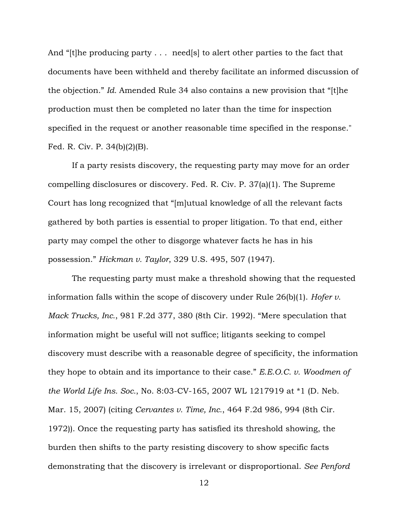And "[t]he producing party . . . need[s] to alert other parties to the fact that documents have been withheld and thereby facilitate an informed discussion of the objection." *Id.* Amended Rule 34 also contains a new provision that "[t]he production must then be completed no later than the time for inspection specified in the request or another reasonable time specified in the response." Fed. R. Civ. P. 34(b)(2)(B).

If a party resists discovery, the requesting party may move for an order compelling disclosures or discovery. Fed. R. Civ. P. 37(a)(1). The Supreme Court has long recognized that "[m]utual knowledge of all the relevant facts gathered by both parties is essential to proper litigation. To that end, either party may compel the other to disgorge whatever facts he has in his possession." *Hickman v. Taylor*, 329 U.S. 495, 507 (1947).

The requesting party must make a threshold showing that the requested information falls within the scope of discovery under Rule 26(b)(1). *Hofer v. Mack Trucks, Inc.*, 981 F.2d 377, 380 (8th Cir. 1992). "Mere speculation that information might be useful will not suffice; litigants seeking to compel discovery must describe with a reasonable degree of specificity, the information they hope to obtain and its importance to their case." *E.E.O.C. v. Woodmen of the World Life Ins. Soc.*, No. 8:03-CV-165, 2007 WL 1217919 at \*1 (D. Neb. Mar. 15, 2007) (citing *Cervantes v. Time, Inc.*, 464 F.2d 986, 994 (8th Cir. 1972)). Once the requesting party has satisfied its threshold showing, the burden then shifts to the party resisting discovery to show specific facts demonstrating that the discovery is irrelevant or disproportional. *See Penford*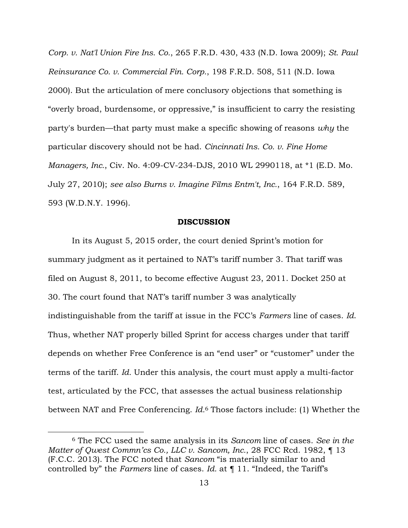*Corp. v. Nat'l Union Fire Ins. Co.*, 265 F.R.D. 430, 433 (N.D. Iowa 2009); *St. Paul Reinsurance Co. v. Commercial Fin. Corp.*, 198 F.R.D. 508, 511 (N.D. Iowa 2000). But the articulation of mere conclusory objections that something is "overly broad, burdensome, or oppressive," is insufficient to carry the resisting party's burden—that party must make a specific showing of reasons *why* the particular discovery should not be had. *Cincinnati Ins. Co. v. Fine Home Managers, Inc.*, Civ. No. 4:09-CV-234-DJS, 2010 WL 2990118, at \*1 (E.D. Mo. July 27, 2010); *see also Burns v. Imagine Films Entm't, Inc.*, 164 F.R.D. 589, 593 (W.D.N.Y. 1996).

#### **DISCUSSION**

In its August 5, 2015 order, the court denied Sprint's motion for summary judgment as it pertained to NAT's tariff number 3. That tariff was filed on August 8, 2011, to become effective August 23, 2011. Docket 250 at 30. The court found that NAT's tariff number 3 was analytically indistinguishable from the tariff at issue in the FCC's *Farmers* line of cases. *Id*. Thus, whether NAT properly billed Sprint for access charges under that tariff depends on whether Free Conference is an "end user" or "customer" under the terms of the tariff. *Id.* Under this analysis, the court must apply a multi-factor test, articulated by the FCC, that assesses the actual business relationship between NAT and Free Conferencing. *Id.*<sup>6</sup> Those factors include: (1) Whether the

 $\overline{a}$ 

<sup>6</sup> The FCC used the same analysis in its *Sancom* line of cases. *See in the Matter of Qwest Commn'cs Co., LLC v. Sancom, Inc.*, 28 FCC Rcd. 1982, ¶ 13 (F.C.C. 2013). The FCC noted that *Sancom* "is materially similar to and controlled by" the *Farmers* line of cases. *Id.* at ¶ 11. "Indeed, the Tariff's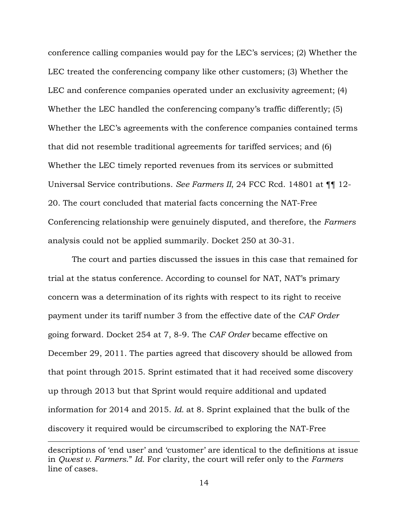conference calling companies would pay for the LEC's services; (2) Whether the LEC treated the conferencing company like other customers; (3) Whether the LEC and conference companies operated under an exclusivity agreement; (4) Whether the LEC handled the conferencing company's traffic differently; (5) Whether the LEC's agreements with the conference companies contained terms that did not resemble traditional agreements for tariffed services; and (6) Whether the LEC timely reported revenues from its services or submitted Universal Service contributions. *See Farmers II*, 24 FCC Rcd. 14801 at ¶¶ 12- 20. The court concluded that material facts concerning the NAT-Free Conferencing relationship were genuinely disputed, and therefore, the *Farmers* analysis could not be applied summarily. Docket 250 at 30-31.

The court and parties discussed the issues in this case that remained for trial at the status conference. According to counsel for NAT, NAT's primary concern was a determination of its rights with respect to its right to receive payment under its tariff number 3 from the effective date of the *CAF Order* going forward. Docket 254 at 7, 8-9. The *CAF Order* became effective on December 29, 2011. The parties agreed that discovery should be allowed from that point through 2015. Sprint estimated that it had received some discovery up through 2013 but that Sprint would require additional and updated information for 2014 and 2015. *Id.* at 8. Sprint explained that the bulk of the discovery it required would be circumscribed to exploring the NAT-Free

 $\overline{a}$ 

descriptions of 'end user' and 'customer' are identical to the definitions at issue in *Qwest v. Farmers*." *Id.* For clarity, the court will refer only to the *Farmers* line of cases.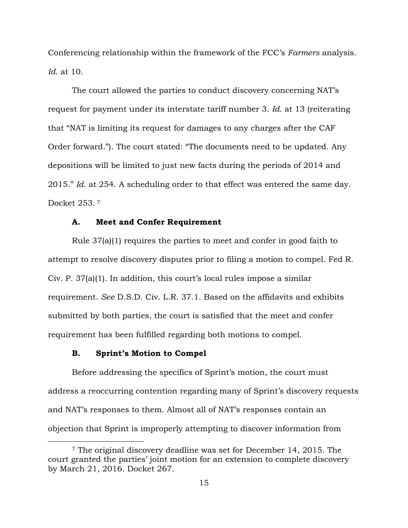Conferencing relationship within the framework of the FCC's *Farmers* analysis. *Id.* at 10.

The court allowed the parties to conduct discovery concerning NAT's request for payment under its interstate tariff number 3. *Id.* at 13 (reiterating that "NAT is limiting its request for damages to any charges after the CAF Order forward."). The court stated: "The documents need to be updated. Any depositions will be limited to just new facts during the periods of 2014 and 2015." *Id.* at 254. A scheduling order to that effect was entered the same day. Docket 253. <sup>7</sup>

## **A. Meet and Confer Requirement**

Rule 37(a)(1) requires the parties to meet and confer in good faith to attempt to resolve discovery disputes prior to filing a motion to compel. Fed R. Civ. P. 37(a)(1). In addition, this court's local rules impose a similar requirement. *See* D.S.D. Civ. L.R. 37.1. Based on the affidavits and exhibits submitted by both parties, the court is satisfied that the meet and confer requirement has been fulfilled regarding both motions to compel.

## **B. Sprint's Motion to Compel**

 $\overline{a}$ 

Before addressing the specifics of Sprint's motion, the court must address a reoccurring contention regarding many of Sprint's discovery requests and NAT's responses to them. Almost all of NAT's responses contain an objection that Sprint is improperly attempting to discover information from

<sup>7</sup> The original discovery deadline was set for December 14, 2015. The court granted the parties' joint motion for an extension to complete discovery by March 21, 2016. Docket 267.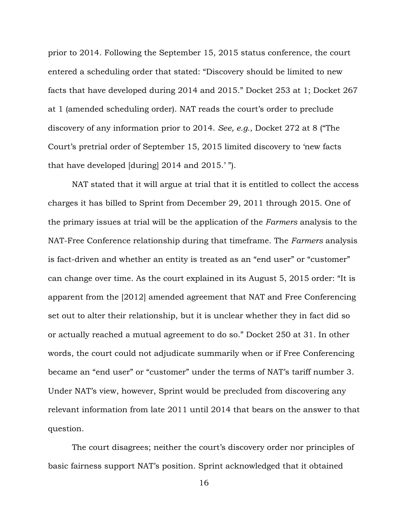prior to 2014. Following the September 15, 2015 status conference, the court entered a scheduling order that stated: "Discovery should be limited to new facts that have developed during 2014 and 2015." Docket 253 at 1; Docket 267 at 1 (amended scheduling order). NAT reads the court's order to preclude discovery of any information prior to 2014. *See, e.g.*, Docket 272 at 8 ("The Court's pretrial order of September 15, 2015 limited discovery to 'new facts that have developed [during] 2014 and 2015.' ").

NAT stated that it will argue at trial that it is entitled to collect the access charges it has billed to Sprint from December 29, 2011 through 2015. One of the primary issues at trial will be the application of the *Farmers* analysis to the NAT-Free Conference relationship during that timeframe. The *Farmers* analysis is fact-driven and whether an entity is treated as an "end user" or "customer" can change over time. As the court explained in its August 5, 2015 order: "It is apparent from the [2012] amended agreement that NAT and Free Conferencing set out to alter their relationship, but it is unclear whether they in fact did so or actually reached a mutual agreement to do so." Docket 250 at 31. In other words, the court could not adjudicate summarily when or if Free Conferencing became an "end user" or "customer" under the terms of NAT's tariff number 3. Under NAT's view, however, Sprint would be precluded from discovering any relevant information from late 2011 until 2014 that bears on the answer to that question.

The court disagrees; neither the court's discovery order nor principles of basic fairness support NAT's position. Sprint acknowledged that it obtained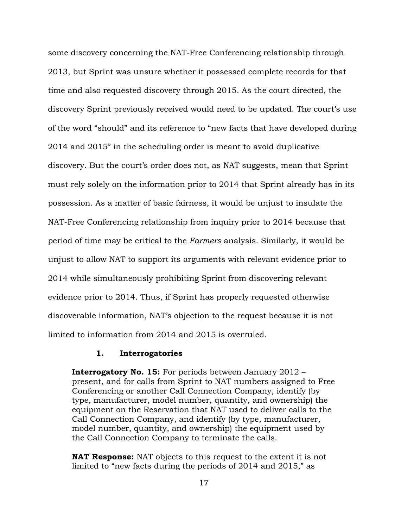some discovery concerning the NAT-Free Conferencing relationship through 2013, but Sprint was unsure whether it possessed complete records for that time and also requested discovery through 2015. As the court directed, the discovery Sprint previously received would need to be updated. The court's use of the word "should" and its reference to "new facts that have developed during 2014 and 2015" in the scheduling order is meant to avoid duplicative discovery. But the court's order does not, as NAT suggests, mean that Sprint must rely solely on the information prior to 2014 that Sprint already has in its possession. As a matter of basic fairness, it would be unjust to insulate the NAT-Free Conferencing relationship from inquiry prior to 2014 because that period of time may be critical to the *Farmers* analysis. Similarly, it would be unjust to allow NAT to support its arguments with relevant evidence prior to 2014 while simultaneously prohibiting Sprint from discovering relevant evidence prior to 2014. Thus, if Sprint has properly requested otherwise discoverable information, NAT's objection to the request because it is not limited to information from 2014 and 2015 is overruled.

## **1. Interrogatories**

**Interrogatory No. 15:** For periods between January 2012 – present, and for calls from Sprint to NAT numbers assigned to Free Conferencing or another Call Connection Company, identify (by type, manufacturer, model number, quantity, and ownership) the equipment on the Reservation that NAT used to deliver calls to the Call Connection Company, and identify (by type, manufacturer, model number, quantity, and ownership) the equipment used by the Call Connection Company to terminate the calls.

**NAT Response:** NAT objects to this request to the extent it is not limited to "new facts during the periods of 2014 and 2015," as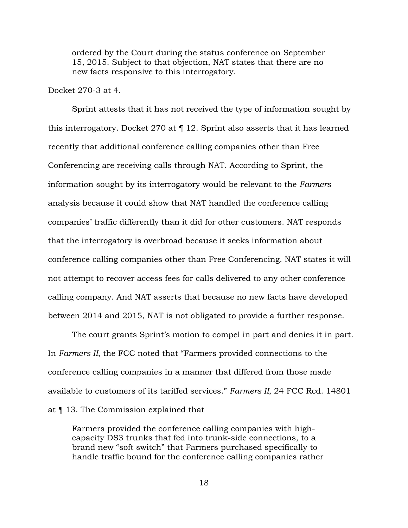ordered by the Court during the status conference on September 15, 2015. Subject to that objection, NAT states that there are no new facts responsive to this interrogatory.

Docket 270-3 at 4.

 Sprint attests that it has not received the type of information sought by this interrogatory. Docket 270 at ¶ 12. Sprint also asserts that it has learned recently that additional conference calling companies other than Free Conferencing are receiving calls through NAT. According to Sprint, the information sought by its interrogatory would be relevant to the *Farmers* analysis because it could show that NAT handled the conference calling companies' traffic differently than it did for other customers. NAT responds that the interrogatory is overbroad because it seeks information about conference calling companies other than Free Conferencing. NAT states it will not attempt to recover access fees for calls delivered to any other conference calling company. And NAT asserts that because no new facts have developed between 2014 and 2015, NAT is not obligated to provide a further response.

The court grants Sprint's motion to compel in part and denies it in part. In *Farmers II*, the FCC noted that "Farmers provided connections to the conference calling companies in a manner that differed from those made available to customers of its tariffed services." *Farmers II*, 24 FCC Rcd. 14801 at ¶ 13. The Commission explained that

Farmers provided the conference calling companies with highcapacity DS3 trunks that fed into trunk-side connections, to a brand new "soft switch" that Farmers purchased specifically to handle traffic bound for the conference calling companies rather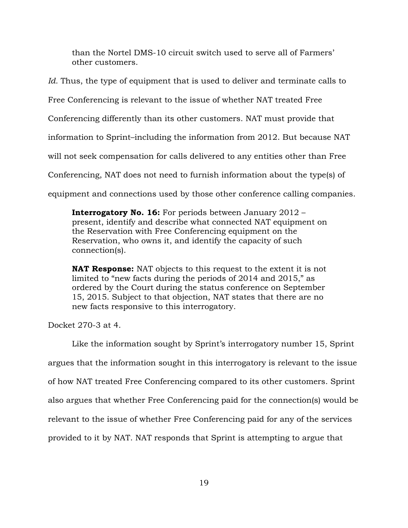than the Nortel DMS-10 circuit switch used to serve all of Farmers' other customers.

*Id.* Thus, the type of equipment that is used to deliver and terminate calls to

Free Conferencing is relevant to the issue of whether NAT treated Free

Conferencing differently than its other customers. NAT must provide that

information to Sprint–including the information from 2012. But because NAT

will not seek compensation for calls delivered to any entities other than Free

Conferencing, NAT does not need to furnish information about the type(s) of

equipment and connections used by those other conference calling companies.

**Interrogatory No. 16:** For periods between January 2012 – present, identify and describe what connected NAT equipment on the Reservation with Free Conferencing equipment on the Reservation, who owns it, and identify the capacity of such connection(s).

**NAT Response:** NAT objects to this request to the extent it is not limited to "new facts during the periods of 2014 and 2015," as ordered by the Court during the status conference on September 15, 2015. Subject to that objection, NAT states that there are no new facts responsive to this interrogatory.

Docket 270-3 at 4.

 Like the information sought by Sprint's interrogatory number 15, Sprint argues that the information sought in this interrogatory is relevant to the issue of how NAT treated Free Conferencing compared to its other customers. Sprint also argues that whether Free Conferencing paid for the connection(s) would be relevant to the issue of whether Free Conferencing paid for any of the services provided to it by NAT. NAT responds that Sprint is attempting to argue that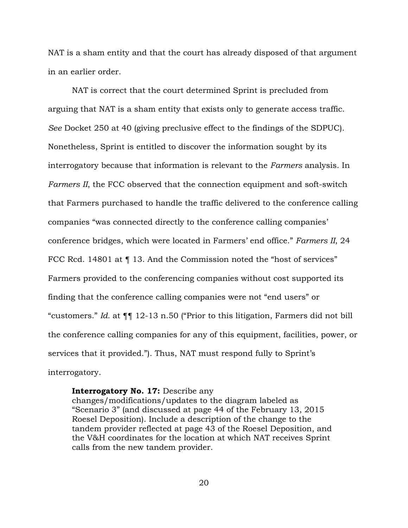NAT is a sham entity and that the court has already disposed of that argument in an earlier order.

 NAT is correct that the court determined Sprint is precluded from arguing that NAT is a sham entity that exists only to generate access traffic. *See* Docket 250 at 40 (giving preclusive effect to the findings of the SDPUC). Nonetheless, Sprint is entitled to discover the information sought by its interrogatory because that information is relevant to the *Farmers* analysis. In *Farmers II*, the FCC observed that the connection equipment and soft-switch that Farmers purchased to handle the traffic delivered to the conference calling companies "was connected directly to the conference calling companies' conference bridges, which were located in Farmers' end office." *Farmers II*, 24 FCC Rcd. 14801 at  $\P$  13. And the Commission noted the "host of services" Farmers provided to the conferencing companies without cost supported its finding that the conference calling companies were not "end users" or "customers." *Id.* at ¶¶ 12-13 n.50 ("Prior to this litigation, Farmers did not bill the conference calling companies for any of this equipment, facilities, power, or services that it provided."). Thus, NAT must respond fully to Sprint's interrogatory.

## **Interrogatory No. 17:** Describe any

changes/modifications/updates to the diagram labeled as "Scenario 3" (and discussed at page 44 of the February 13, 2015 Roesel Deposition). Include a description of the change to the tandem provider reflected at page 43 of the Roesel Deposition, and the V&H coordinates for the location at which NAT receives Sprint calls from the new tandem provider.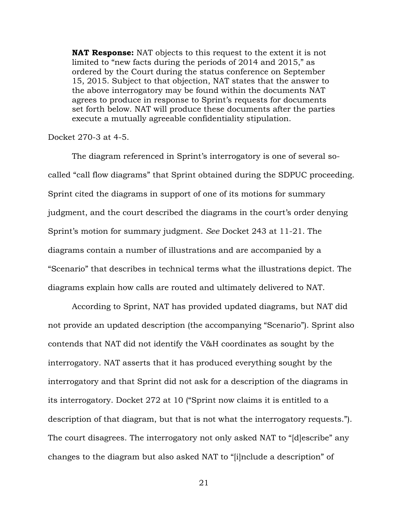**NAT Response:** NAT objects to this request to the extent it is not limited to "new facts during the periods of 2014 and 2015," as ordered by the Court during the status conference on September 15, 2015. Subject to that objection, NAT states that the answer to the above interrogatory may be found within the documents NAT agrees to produce in response to Sprint's requests for documents set forth below. NAT will produce these documents after the parties execute a mutually agreeable confidentiality stipulation.

#### Docket 270-3 at 4-5.

 The diagram referenced in Sprint's interrogatory is one of several socalled "call flow diagrams" that Sprint obtained during the SDPUC proceeding. Sprint cited the diagrams in support of one of its motions for summary judgment, and the court described the diagrams in the court's order denying Sprint's motion for summary judgment. *See* Docket 243 at 11-21. The diagrams contain a number of illustrations and are accompanied by a "Scenario" that describes in technical terms what the illustrations depict. The diagrams explain how calls are routed and ultimately delivered to NAT.

 According to Sprint, NAT has provided updated diagrams, but NAT did not provide an updated description (the accompanying "Scenario"). Sprint also contends that NAT did not identify the V&H coordinates as sought by the interrogatory. NAT asserts that it has produced everything sought by the interrogatory and that Sprint did not ask for a description of the diagrams in its interrogatory. Docket 272 at 10 ("Sprint now claims it is entitled to a description of that diagram, but that is not what the interrogatory requests."). The court disagrees. The interrogatory not only asked NAT to "[d]escribe" any changes to the diagram but also asked NAT to "[i]nclude a description" of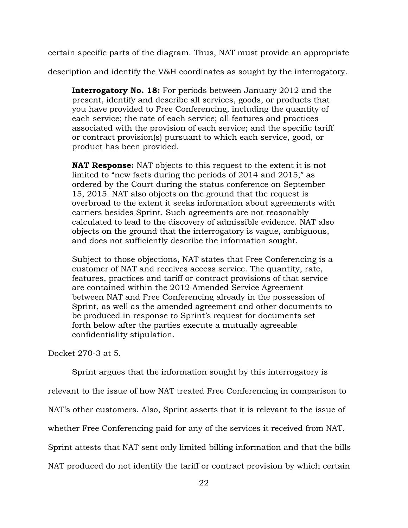certain specific parts of the diagram. Thus, NAT must provide an appropriate

description and identify the V&H coordinates as sought by the interrogatory.

**Interrogatory No. 18:** For periods between January 2012 and the present, identify and describe all services, goods, or products that you have provided to Free Conferencing, including the quantity of each service; the rate of each service; all features and practices associated with the provision of each service; and the specific tariff or contract provision(s) pursuant to which each service, good, or product has been provided.

**NAT Response:** NAT objects to this request to the extent it is not limited to "new facts during the periods of 2014 and 2015," as ordered by the Court during the status conference on September 15, 2015. NAT also objects on the ground that the request is overbroad to the extent it seeks information about agreements with carriers besides Sprint. Such agreements are not reasonably calculated to lead to the discovery of admissible evidence. NAT also objects on the ground that the interrogatory is vague, ambiguous, and does not sufficiently describe the information sought.

Subject to those objections, NAT states that Free Conferencing is a customer of NAT and receives access service. The quantity, rate, features, practices and tariff or contract provisions of that service are contained within the 2012 Amended Service Agreement between NAT and Free Conferencing already in the possession of Sprint, as well as the amended agreement and other documents to be produced in response to Sprint's request for documents set forth below after the parties execute a mutually agreeable confidentiality stipulation.

Docket 270-3 at 5.

 Sprint argues that the information sought by this interrogatory is relevant to the issue of how NAT treated Free Conferencing in comparison to NAT's other customers. Also, Sprint asserts that it is relevant to the issue of whether Free Conferencing paid for any of the services it received from NAT. Sprint attests that NAT sent only limited billing information and that the bills NAT produced do not identify the tariff or contract provision by which certain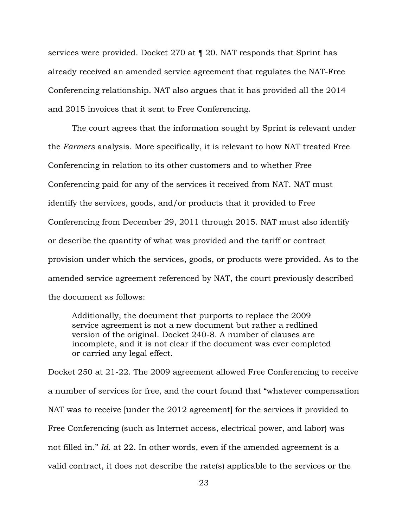services were provided. Docket 270 at ¶ 20. NAT responds that Sprint has already received an amended service agreement that regulates the NAT-Free Conferencing relationship. NAT also argues that it has provided all the 2014 and 2015 invoices that it sent to Free Conferencing.

 The court agrees that the information sought by Sprint is relevant under the *Farmers* analysis. More specifically, it is relevant to how NAT treated Free Conferencing in relation to its other customers and to whether Free Conferencing paid for any of the services it received from NAT. NAT must identify the services, goods, and/or products that it provided to Free Conferencing from December 29, 2011 through 2015. NAT must also identify or describe the quantity of what was provided and the tariff or contract provision under which the services, goods, or products were provided. As to the amended service agreement referenced by NAT, the court previously described the document as follows:

Additionally, the document that purports to replace the 2009 service agreement is not a new document but rather a redlined version of the original. Docket 240-8. A number of clauses are incomplete, and it is not clear if the document was ever completed or carried any legal effect.

Docket 250 at 21-22. The 2009 agreement allowed Free Conferencing to receive a number of services for free, and the court found that "whatever compensation NAT was to receive [under the 2012 agreement] for the services it provided to Free Conferencing (such as Internet access, electrical power, and labor) was not filled in." *Id.* at 22. In other words, even if the amended agreement is a valid contract, it does not describe the rate(s) applicable to the services or the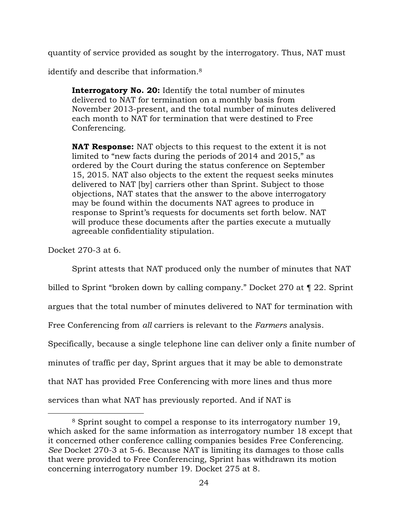quantity of service provided as sought by the interrogatory. Thus, NAT must

identify and describe that information.<sup>8</sup>

**Interrogatory No. 20:** Identify the total number of minutes delivered to NAT for termination on a monthly basis from November 2013-present, and the total number of minutes delivered each month to NAT for termination that were destined to Free Conferencing.

**NAT Response:** NAT objects to this request to the extent it is not limited to "new facts during the periods of 2014 and 2015," as ordered by the Court during the status conference on September 15, 2015. NAT also objects to the extent the request seeks minutes delivered to NAT [by] carriers other than Sprint. Subject to those objections, NAT states that the answer to the above interrogatory may be found within the documents NAT agrees to produce in response to Sprint's requests for documents set forth below. NAT will produce these documents after the parties execute a mutually agreeable confidentiality stipulation.

Docket 270-3 at 6.

 $\overline{a}$ 

Sprint attests that NAT produced only the number of minutes that NAT

billed to Sprint "broken down by calling company." Docket 270 at ¶ 22. Sprint

argues that the total number of minutes delivered to NAT for termination with

Free Conferencing from *all* carriers is relevant to the *Farmers* analysis.

Specifically, because a single telephone line can deliver only a finite number of

minutes of traffic per day, Sprint argues that it may be able to demonstrate

that NAT has provided Free Conferencing with more lines and thus more

services than what NAT has previously reported. And if NAT is

<sup>8</sup> Sprint sought to compel a response to its interrogatory number 19, which asked for the same information as interrogatory number 18 except that it concerned other conference calling companies besides Free Conferencing. *See* Docket 270-3 at 5-6. Because NAT is limiting its damages to those calls that were provided to Free Conferencing, Sprint has withdrawn its motion concerning interrogatory number 19. Docket 275 at 8.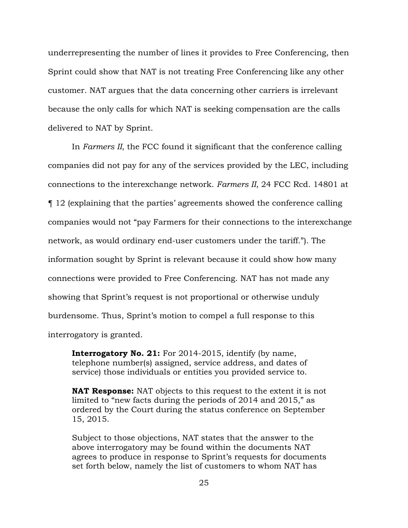underrepresenting the number of lines it provides to Free Conferencing, then Sprint could show that NAT is not treating Free Conferencing like any other customer. NAT argues that the data concerning other carriers is irrelevant because the only calls for which NAT is seeking compensation are the calls delivered to NAT by Sprint.

In *Farmers II*, the FCC found it significant that the conference calling companies did not pay for any of the services provided by the LEC, including connections to the interexchange network. *Farmers II*, 24 FCC Rcd. 14801 at ¶ 12 (explaining that the parties' agreements showed the conference calling companies would not "pay Farmers for their connections to the interexchange network, as would ordinary end-user customers under the tariff."). The information sought by Sprint is relevant because it could show how many connections were provided to Free Conferencing. NAT has not made any showing that Sprint's request is not proportional or otherwise unduly burdensome. Thus, Sprint's motion to compel a full response to this interrogatory is granted.

**Interrogatory No. 21:** For 2014-2015, identify (by name, telephone number(s) assigned, service address, and dates of service) those individuals or entities you provided service to.

**NAT Response:** NAT objects to this request to the extent it is not limited to "new facts during the periods of 2014 and 2015," as ordered by the Court during the status conference on September 15, 2015.

Subject to those objections, NAT states that the answer to the above interrogatory may be found within the documents NAT agrees to produce in response to Sprint's requests for documents set forth below, namely the list of customers to whom NAT has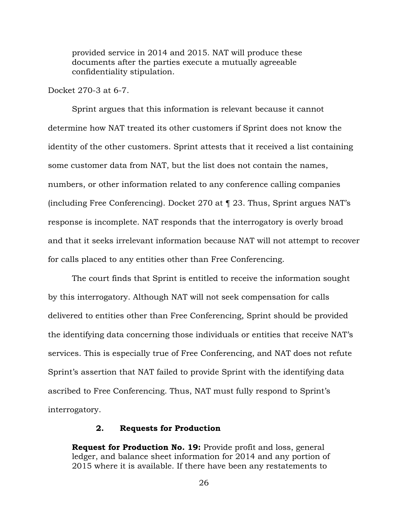provided service in 2014 and 2015. NAT will produce these documents after the parties execute a mutually agreeable confidentiality stipulation.

Docket 270-3 at 6-7.

 Sprint argues that this information is relevant because it cannot determine how NAT treated its other customers if Sprint does not know the identity of the other customers. Sprint attests that it received a list containing some customer data from NAT, but the list does not contain the names, numbers, or other information related to any conference calling companies (including Free Conferencing). Docket 270 at ¶ 23. Thus, Sprint argues NAT's response is incomplete. NAT responds that the interrogatory is overly broad and that it seeks irrelevant information because NAT will not attempt to recover for calls placed to any entities other than Free Conferencing.

 The court finds that Sprint is entitled to receive the information sought by this interrogatory. Although NAT will not seek compensation for calls delivered to entities other than Free Conferencing, Sprint should be provided the identifying data concerning those individuals or entities that receive NAT's services. This is especially true of Free Conferencing, and NAT does not refute Sprint's assertion that NAT failed to provide Sprint with the identifying data ascribed to Free Conferencing. Thus, NAT must fully respond to Sprint's interrogatory.

## **2. Requests for Production**

**Request for Production No. 19:** Provide profit and loss, general ledger, and balance sheet information for 2014 and any portion of 2015 where it is available. If there have been any restatements to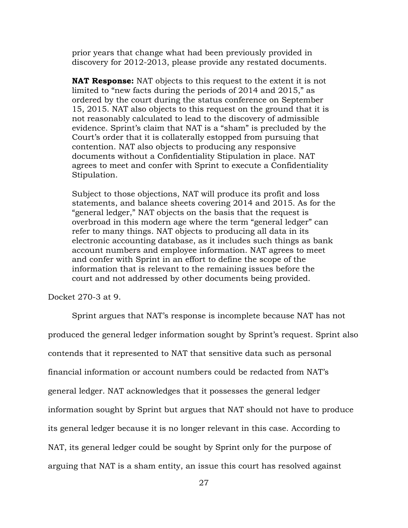prior years that change what had been previously provided in discovery for 2012-2013, please provide any restated documents.

**NAT Response:** NAT objects to this request to the extent it is not limited to "new facts during the periods of 2014 and 2015," as ordered by the court during the status conference on September 15, 2015. NAT also objects to this request on the ground that it is not reasonably calculated to lead to the discovery of admissible evidence. Sprint's claim that NAT is a "sham" is precluded by the Court's order that it is collaterally estopped from pursuing that contention. NAT also objects to producing any responsive documents without a Confidentiality Stipulation in place. NAT agrees to meet and confer with Sprint to execute a Confidentiality Stipulation.

Subject to those objections, NAT will produce its profit and loss statements, and balance sheets covering 2014 and 2015. As for the "general ledger," NAT objects on the basis that the request is overbroad in this modern age where the term "general ledger" can refer to many things. NAT objects to producing all data in its electronic accounting database, as it includes such things as bank account numbers and employee information. NAT agrees to meet and confer with Sprint in an effort to define the scope of the information that is relevant to the remaining issues before the court and not addressed by other documents being provided.

Docket 270-3 at 9.

Sprint argues that NAT's response is incomplete because NAT has not produced the general ledger information sought by Sprint's request. Sprint also contends that it represented to NAT that sensitive data such as personal financial information or account numbers could be redacted from NAT's general ledger. NAT acknowledges that it possesses the general ledger information sought by Sprint but argues that NAT should not have to produce its general ledger because it is no longer relevant in this case. According to NAT, its general ledger could be sought by Sprint only for the purpose of arguing that NAT is a sham entity, an issue this court has resolved against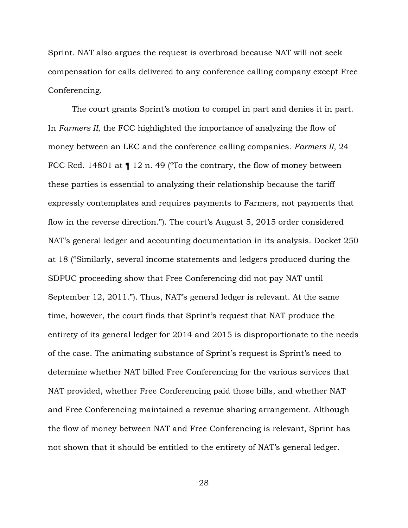Sprint. NAT also argues the request is overbroad because NAT will not seek compensation for calls delivered to any conference calling company except Free Conferencing.

 The court grants Sprint's motion to compel in part and denies it in part. In *Farmers II*, the FCC highlighted the importance of analyzing the flow of money between an LEC and the conference calling companies. *Farmers II*, 24 FCC Rcd. 14801 at  $\P$  12 n. 49 ("To the contrary, the flow of money between these parties is essential to analyzing their relationship because the tariff expressly contemplates and requires payments to Farmers, not payments that flow in the reverse direction."). The court's August 5, 2015 order considered NAT's general ledger and accounting documentation in its analysis. Docket 250 at 18 ("Similarly, several income statements and ledgers produced during the SDPUC proceeding show that Free Conferencing did not pay NAT until September 12, 2011."). Thus, NAT's general ledger is relevant. At the same time, however, the court finds that Sprint's request that NAT produce the entirety of its general ledger for 2014 and 2015 is disproportionate to the needs of the case. The animating substance of Sprint's request is Sprint's need to determine whether NAT billed Free Conferencing for the various services that NAT provided, whether Free Conferencing paid those bills, and whether NAT and Free Conferencing maintained a revenue sharing arrangement. Although the flow of money between NAT and Free Conferencing is relevant, Sprint has not shown that it should be entitled to the entirety of NAT's general ledger.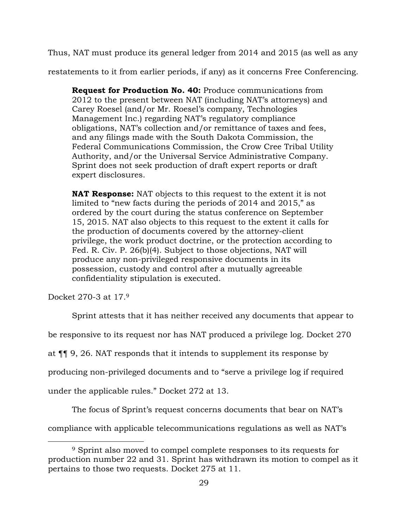Thus, NAT must produce its general ledger from 2014 and 2015 (as well as any

restatements to it from earlier periods, if any) as it concerns Free Conferencing.

**Request for Production No. 40:** Produce communications from 2012 to the present between NAT (including NAT's attorneys) and Carey Roesel (and/or Mr. Roesel's company, Technologies Management Inc.) regarding NAT's regulatory compliance obligations, NAT's collection and/or remittance of taxes and fees, and any filings made with the South Dakota Commission, the Federal Communications Commission, the Crow Cree Tribal Utility Authority, and/or the Universal Service Administrative Company. Sprint does not seek production of draft expert reports or draft expert disclosures.

**NAT Response:** NAT objects to this request to the extent it is not limited to "new facts during the periods of 2014 and 2015," as ordered by the court during the status conference on September 15, 2015. NAT also objects to this request to the extent it calls for the production of documents covered by the attorney-client privilege, the work product doctrine, or the protection according to Fed. R. Civ. P. 26(b)(4). Subject to those objections, NAT will produce any non-privileged responsive documents in its possession, custody and control after a mutually agreeable confidentiality stipulation is executed.

Docket 270-3 at 17.<sup>9</sup>

 $\overline{a}$ 

Sprint attests that it has neither received any documents that appear to

be responsive to its request nor has NAT produced a privilege log. Docket 270

at ¶¶ 9, 26. NAT responds that it intends to supplement its response by

producing non-privileged documents and to "serve a privilege log if required

under the applicable rules." Docket 272 at 13.

The focus of Sprint's request concerns documents that bear on NAT's

compliance with applicable telecommunications regulations as well as NAT's

<sup>9</sup> Sprint also moved to compel complete responses to its requests for production number 22 and 31. Sprint has withdrawn its motion to compel as it pertains to those two requests. Docket 275 at 11.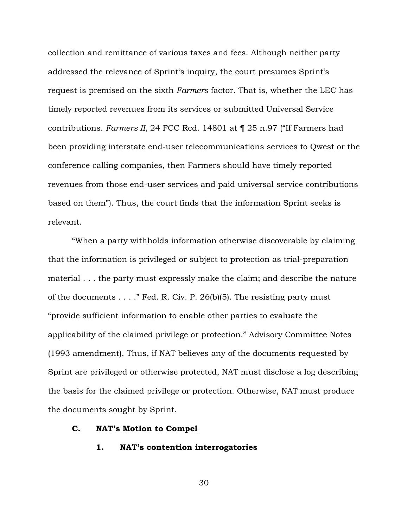collection and remittance of various taxes and fees. Although neither party addressed the relevance of Sprint's inquiry, the court presumes Sprint's request is premised on the sixth *Farmers* factor. That is, whether the LEC has timely reported revenues from its services or submitted Universal Service contributions. *Farmers II*, 24 FCC Rcd. 14801 at ¶ 25 n.97 ("If Farmers had been providing interstate end-user telecommunications services to Qwest or the conference calling companies, then Farmers should have timely reported revenues from those end-user services and paid universal service contributions based on them"). Thus, the court finds that the information Sprint seeks is relevant.

"When a party withholds information otherwise discoverable by claiming that the information is privileged or subject to protection as trial-preparation material . . . the party must expressly make the claim; and describe the nature of the documents  $\dots$ ." Fed. R. Civ. P. 26(b)(5). The resisting party must "provide sufficient information to enable other parties to evaluate the applicability of the claimed privilege or protection." Advisory Committee Notes (1993 amendment). Thus, if NAT believes any of the documents requested by Sprint are privileged or otherwise protected, NAT must disclose a log describing the basis for the claimed privilege or protection. Otherwise, NAT must produce the documents sought by Sprint.

# **C. NAT's Motion to Compel**

## **1. NAT's contention interrogatories**

30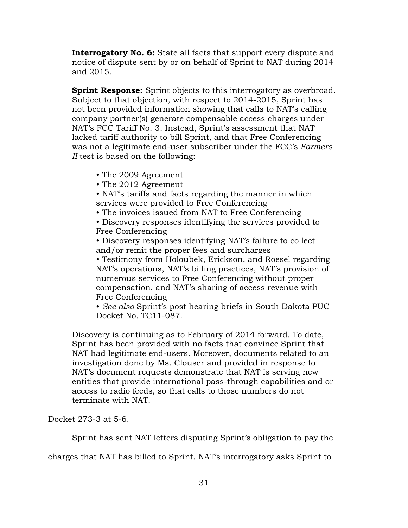**Interrogatory No. 6:** State all facts that support every dispute and notice of dispute sent by or on behalf of Sprint to NAT during 2014 and 2015.

**Sprint Response:** Sprint objects to this interrogatory as overbroad. Subject to that objection, with respect to 2014-2015, Sprint has not been provided information showing that calls to NAT's calling company partner(s) generate compensable access charges under NAT's FCC Tariff No. 3. Instead, Sprint's assessment that NAT lacked tariff authority to bill Sprint, and that Free Conferencing was not a legitimate end-user subscriber under the FCC's *Farmers II* test is based on the following:

- The 2009 Agreement
- The 2012 Agreement
- NAT's tariffs and facts regarding the manner in which services were provided to Free Conferencing
- The invoices issued from NAT to Free Conferencing
- Discovery responses identifying the services provided to Free Conferencing

• Discovery responses identifying NAT's failure to collect and/or remit the proper fees and surcharges

• Testimony from Holoubek, Erickson, and Roesel regarding NAT's operations, NAT's billing practices, NAT's provision of numerous services to Free Conferencing without proper compensation, and NAT's sharing of access revenue with Free Conferencing

• *See also* Sprint's post hearing briefs in South Dakota PUC Docket No. TC11-087.

Discovery is continuing as to February of 2014 forward. To date, Sprint has been provided with no facts that convince Sprint that NAT had legitimate end-users. Moreover, documents related to an investigation done by Ms. Clouser and provided in response to NAT's document requests demonstrate that NAT is serving new entities that provide international pass-through capabilities and or access to radio feeds, so that calls to those numbers do not terminate with NAT.

Docket 273-3 at 5-6.

Sprint has sent NAT letters disputing Sprint's obligation to pay the

charges that NAT has billed to Sprint. NAT's interrogatory asks Sprint to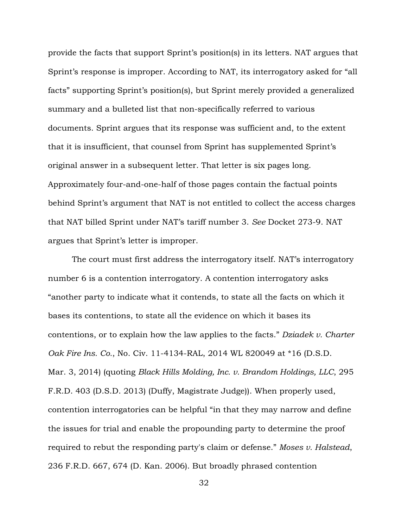provide the facts that support Sprint's position(s) in its letters. NAT argues that Sprint's response is improper. According to NAT, its interrogatory asked for "all facts" supporting Sprint's position(s), but Sprint merely provided a generalized summary and a bulleted list that non-specifically referred to various documents. Sprint argues that its response was sufficient and, to the extent that it is insufficient, that counsel from Sprint has supplemented Sprint's original answer in a subsequent letter. That letter is six pages long. Approximately four-and-one-half of those pages contain the factual points behind Sprint's argument that NAT is not entitled to collect the access charges that NAT billed Sprint under NAT's tariff number 3. *See* Docket 273-9. NAT argues that Sprint's letter is improper.

The court must first address the interrogatory itself. NAT's interrogatory number 6 is a contention interrogatory. A contention interrogatory asks "another party to indicate what it contends, to state all the facts on which it bases its contentions, to state all the evidence on which it bases its contentions, or to explain how the law applies to the facts." *Dziadek v. Charter Oak Fire Ins. Co.*, No. Civ. 11-4134-RAL, 2014 WL 820049 at \*16 (D.S.D. Mar. 3, 2014) (quoting *Black Hills Molding, Inc. v. Brandom Holdings, LLC*, 295 F.R.D. 403 (D.S.D. 2013) (Duffy, Magistrate Judge)). When properly used, contention interrogatories can be helpful "in that they may narrow and define the issues for trial and enable the propounding party to determine the proof required to rebut the responding party's claim or defense." *Moses v. Halstead*, 236 F.R.D. 667, 674 (D. Kan. 2006). But broadly phrased contention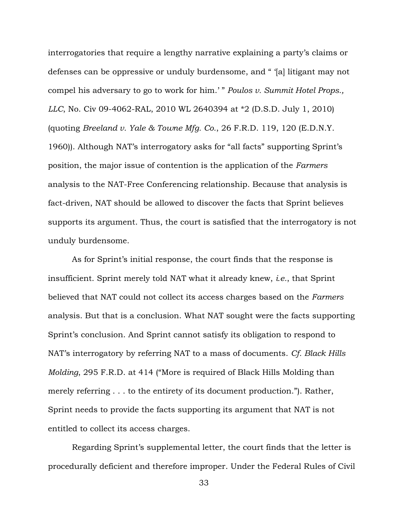interrogatories that require a lengthy narrative explaining a party's claims or defenses can be oppressive or unduly burdensome, and " '[a] litigant may not compel his adversary to go to work for him.' " *Poulos v. Summit Hotel Props., LLC*, No. Civ 09-4062-RAL, 2010 WL 2640394 at \*2 (D.S.D. July 1, 2010) (quoting *Breeland v. Yale & Towne Mfg. Co.*, 26 F.R.D. 119, 120 (E.D.N.Y. 1960)). Although NAT's interrogatory asks for "all facts" supporting Sprint's position, the major issue of contention is the application of the *Farmers* analysis to the NAT-Free Conferencing relationship. Because that analysis is fact-driven, NAT should be allowed to discover the facts that Sprint believes supports its argument. Thus, the court is satisfied that the interrogatory is not unduly burdensome.

As for Sprint's initial response, the court finds that the response is insufficient. Sprint merely told NAT what it already knew, *i.e.*, that Sprint believed that NAT could not collect its access charges based on the *Farmers* analysis. But that is a conclusion. What NAT sought were the facts supporting Sprint's conclusion. And Sprint cannot satisfy its obligation to respond to NAT's interrogatory by referring NAT to a mass of documents. *Cf. Black Hills Molding*, 295 F.R.D. at 414 ("More is required of Black Hills Molding than merely referring . . . to the entirety of its document production."). Rather, Sprint needs to provide the facts supporting its argument that NAT is not entitled to collect its access charges.

Regarding Sprint's supplemental letter, the court finds that the letter is procedurally deficient and therefore improper. Under the Federal Rules of Civil

33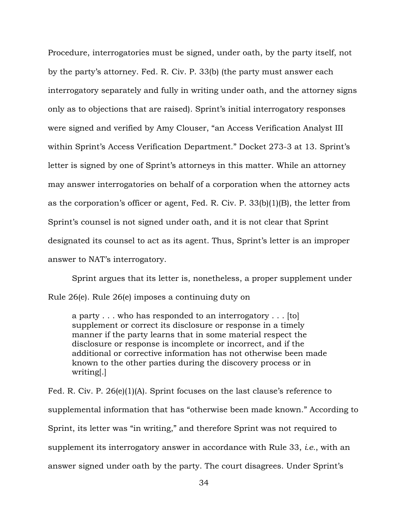Procedure, interrogatories must be signed, under oath, by the party itself, not by the party's attorney. Fed. R. Civ. P. 33(b) (the party must answer each interrogatory separately and fully in writing under oath, and the attorney signs only as to objections that are raised). Sprint's initial interrogatory responses were signed and verified by Amy Clouser, "an Access Verification Analyst III within Sprint's Access Verification Department." Docket 273-3 at 13. Sprint's letter is signed by one of Sprint's attorneys in this matter. While an attorney may answer interrogatories on behalf of a corporation when the attorney acts as the corporation's officer or agent, Fed. R. Civ. P. 33(b)(1)(B), the letter from Sprint's counsel is not signed under oath, and it is not clear that Sprint designated its counsel to act as its agent. Thus, Sprint's letter is an improper answer to NAT's interrogatory.

Sprint argues that its letter is, nonetheless, a proper supplement under Rule 26(e). Rule 26(e) imposes a continuing duty on

a party . . . who has responded to an interrogatory . . . [to] supplement or correct its disclosure or response in a timely manner if the party learns that in some material respect the disclosure or response is incomplete or incorrect, and if the additional or corrective information has not otherwise been made known to the other parties during the discovery process or in writing[.]

Fed. R. Civ. P. 26(e)(1)(A). Sprint focuses on the last clause's reference to supplemental information that has "otherwise been made known." According to Sprint, its letter was "in writing," and therefore Sprint was not required to supplement its interrogatory answer in accordance with Rule 33, *i.e.*, with an answer signed under oath by the party. The court disagrees. Under Sprint's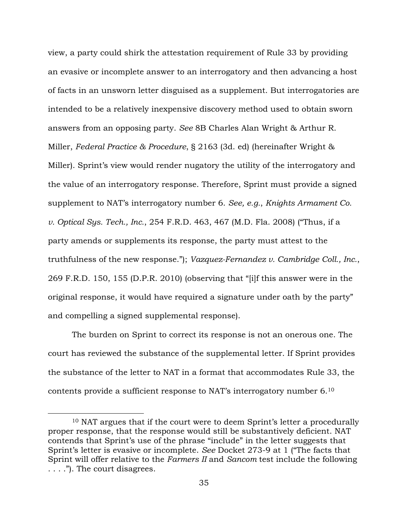view, a party could shirk the attestation requirement of Rule 33 by providing an evasive or incomplete answer to an interrogatory and then advancing a host of facts in an unsworn letter disguised as a supplement. But interrogatories are intended to be a relatively inexpensive discovery method used to obtain sworn answers from an opposing party. *See* 8B Charles Alan Wright & Arthur R. Miller, *Federal Practice & Procedure*, § 2163 (3d. ed) (hereinafter Wright & Miller). Sprint's view would render nugatory the utility of the interrogatory and the value of an interrogatory response. Therefore, Sprint must provide a signed supplement to NAT's interrogatory number 6. *See, e.g.*, *Knights Armament Co. v. Optical Sys. Tech., Inc.*, 254 F.R.D. 463, 467 (M.D. Fla. 2008) ("Thus, if a party amends or supplements its response, the party must attest to the truthfulness of the new response."); *Vazquez-Fernandez v. Cambridge Coll., Inc.*, 269 F.R.D. 150, 155 (D.P.R. 2010) (observing that "[i]f this answer were in the original response, it would have required a signature under oath by the party" and compelling a signed supplemental response).

 The burden on Sprint to correct its response is not an onerous one. The court has reviewed the substance of the supplemental letter. If Sprint provides the substance of the letter to NAT in a format that accommodates Rule 33, the contents provide a sufficient response to NAT's interrogatory number 6.<sup>10</sup>

 $\overline{a}$ 

<sup>10</sup> NAT argues that if the court were to deem Sprint's letter a procedurally proper response, that the response would still be substantively deficient. NAT contends that Sprint's use of the phrase "include" in the letter suggests that Sprint's letter is evasive or incomplete. *See* Docket 273-9 at 1 ("The facts that Sprint will offer relative to the *Farmers II* and *Sancom* test include the following . . . ."). The court disagrees.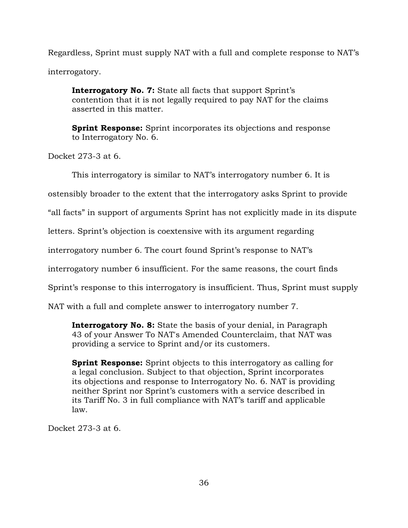Regardless, Sprint must supply NAT with a full and complete response to NAT's interrogatory.

**Interrogatory No. 7:** State all facts that support Sprint's contention that it is not legally required to pay NAT for the claims asserted in this matter.

**Sprint Response:** Sprint incorporates its objections and response to Interrogatory No. 6.

Docket 273-3 at 6.

This interrogatory is similar to NAT's interrogatory number 6. It is

ostensibly broader to the extent that the interrogatory asks Sprint to provide

"all facts" in support of arguments Sprint has not explicitly made in its dispute

letters. Sprint's objection is coextensive with its argument regarding

interrogatory number 6. The court found Sprint's response to NAT's

interrogatory number 6 insufficient. For the same reasons, the court finds

Sprint's response to this interrogatory is insufficient. Thus, Sprint must supply

NAT with a full and complete answer to interrogatory number 7.

**Interrogatory No. 8:** State the basis of your denial, in Paragraph 43 of your Answer To NAT's Amended Counterclaim, that NAT was providing a service to Sprint and/or its customers.

**Sprint Response:** Sprint objects to this interrogatory as calling for a legal conclusion. Subject to that objection, Sprint incorporates its objections and response to Interrogatory No. 6. NAT is providing neither Sprint nor Sprint's customers with a service described in its Tariff No. 3 in full compliance with NAT's tariff and applicable law.

Docket 273-3 at 6.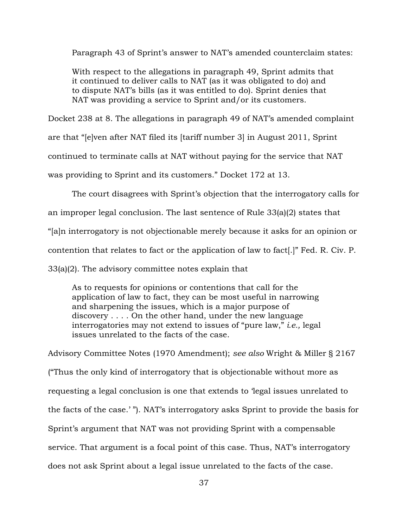Paragraph 43 of Sprint's answer to NAT's amended counterclaim states:

With respect to the allegations in paragraph 49, Sprint admits that it continued to deliver calls to NAT (as it was obligated to do) and to dispute NAT's bills (as it was entitled to do). Sprint denies that NAT was providing a service to Sprint and/or its customers.

Docket 238 at 8. The allegations in paragraph 49 of NAT's amended complaint are that "[e]ven after NAT filed its [tariff number 3] in August 2011, Sprint continued to terminate calls at NAT without paying for the service that NAT was providing to Sprint and its customers." Docket 172 at 13.

The court disagrees with Sprint's objection that the interrogatory calls for

an improper legal conclusion. The last sentence of Rule 33(a)(2) states that

"[a]n interrogatory is not objectionable merely because it asks for an opinion or

contention that relates to fact or the application of law to fact[.]" Fed. R. Civ. P.

33(a)(2). The advisory committee notes explain that

As to requests for opinions or contentions that call for the application of law to fact, they can be most useful in narrowing and sharpening the issues, which is a major purpose of discovery . . . . On the other hand, under the new language interrogatories may not extend to issues of "pure law," *i.e.,* legal issues unrelated to the facts of the case.

Advisory Committee Notes (1970 Amendment); *see also* Wright & Miller § 2167 ("Thus the only kind of interrogatory that is objectionable without more as requesting a legal conclusion is one that extends to 'legal issues unrelated to the facts of the case.' "). NAT's interrogatory asks Sprint to provide the basis for Sprint's argument that NAT was not providing Sprint with a compensable service. That argument is a focal point of this case. Thus, NAT's interrogatory does not ask Sprint about a legal issue unrelated to the facts of the case.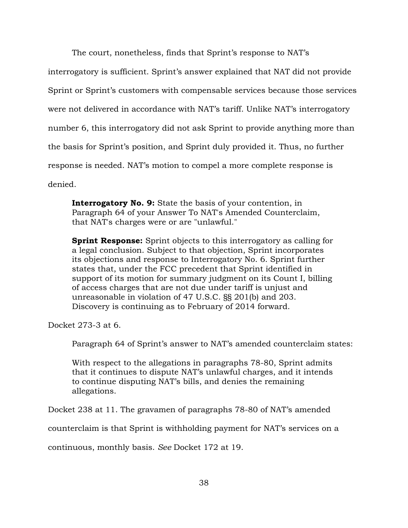The court, nonetheless, finds that Sprint's response to NAT's interrogatory is sufficient. Sprint's answer explained that NAT did not provide Sprint or Sprint's customers with compensable services because those services were not delivered in accordance with NAT's tariff. Unlike NAT's interrogatory number 6, this interrogatory did not ask Sprint to provide anything more than the basis for Sprint's position, and Sprint duly provided it. Thus, no further response is needed. NAT's motion to compel a more complete response is denied.

**Interrogatory No. 9:** State the basis of your contention, in Paragraph 64 of your Answer To NAT's Amended Counterclaim, that NAT's charges were or are "unlawful."

**Sprint Response:** Sprint objects to this interrogatory as calling for a legal conclusion. Subject to that objection, Sprint incorporates its objections and response to Interrogatory No. 6. Sprint further states that, under the FCC precedent that Sprint identified in support of its motion for summary judgment on its Count I, billing of access charges that are not due under tariff is unjust and unreasonable in violation of 47 U.S.C. §§ 201(b) and 203. Discovery is continuing as to February of 2014 forward.

Docket 273-3 at 6.

Paragraph 64 of Sprint's answer to NAT's amended counterclaim states:

With respect to the allegations in paragraphs 78-80, Sprint admits that it continues to dispute NAT's unlawful charges, and it intends to continue disputing NAT's bills, and denies the remaining allegations.

Docket 238 at 11. The gravamen of paragraphs 78-80 of NAT's amended

counterclaim is that Sprint is withholding payment for NAT's services on a

continuous, monthly basis. *See* Docket 172 at 19.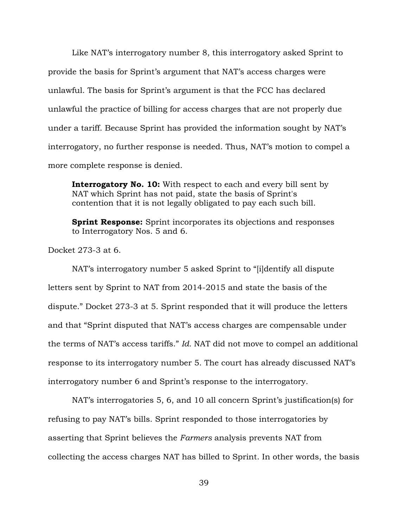Like NAT's interrogatory number 8, this interrogatory asked Sprint to provide the basis for Sprint's argument that NAT's access charges were unlawful. The basis for Sprint's argument is that the FCC has declared unlawful the practice of billing for access charges that are not properly due under a tariff. Because Sprint has provided the information sought by NAT's interrogatory, no further response is needed. Thus, NAT's motion to compel a more complete response is denied.

**Interrogatory No. 10:** With respect to each and every bill sent by NAT which Sprint has not paid, state the basis of Sprint's contention that it is not legally obligated to pay each such bill.

**Sprint Response:** Sprint incorporates its objections and responses to Interrogatory Nos. 5 and 6.

Docket 273-3 at 6.

NAT's interrogatory number 5 asked Sprint to "[i]dentify all dispute letters sent by Sprint to NAT from 2014-2015 and state the basis of the dispute." Docket 273-3 at 5. Sprint responded that it will produce the letters and that "Sprint disputed that NAT's access charges are compensable under the terms of NAT's access tariffs." *Id.* NAT did not move to compel an additional response to its interrogatory number 5. The court has already discussed NAT's interrogatory number 6 and Sprint's response to the interrogatory.

NAT's interrogatories 5, 6, and 10 all concern Sprint's justification(s) for refusing to pay NAT's bills. Sprint responded to those interrogatories by asserting that Sprint believes the *Farmers* analysis prevents NAT from collecting the access charges NAT has billed to Sprint. In other words, the basis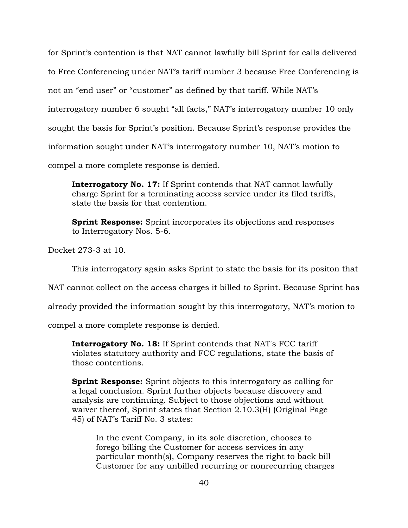for Sprint's contention is that NAT cannot lawfully bill Sprint for calls delivered to Free Conferencing under NAT's tariff number 3 because Free Conferencing is not an "end user" or "customer" as defined by that tariff. While NAT's interrogatory number 6 sought "all facts," NAT's interrogatory number 10 only sought the basis for Sprint's position. Because Sprint's response provides the information sought under NAT's interrogatory number 10, NAT's motion to compel a more complete response is denied.

**Interrogatory No. 17:** If Sprint contends that NAT cannot lawfully charge Sprint for a terminating access service under its filed tariffs, state the basis for that contention.

**Sprint Response:** Sprint incorporates its objections and responses to Interrogatory Nos. 5-6.

Docket 273-3 at 10.

This interrogatory again asks Sprint to state the basis for its positon that

NAT cannot collect on the access charges it billed to Sprint. Because Sprint has

already provided the information sought by this interrogatory, NAT's motion to

compel a more complete response is denied.

**Interrogatory No. 18:** If Sprint contends that NAT's FCC tariff violates statutory authority and FCC regulations, state the basis of those contentions.

**Sprint Response:** Sprint objects to this interrogatory as calling for a legal conclusion. Sprint further objects because discovery and analysis are continuing. Subject to those objections and without waiver thereof, Sprint states that Section 2.10.3(H) (Original Page 45) of NAT's Tariff No. 3 states:

In the event Company, in its sole discretion, chooses to forego billing the Customer for access services in any particular month(s), Company reserves the right to back bill Customer for any unbilled recurring or nonrecurring charges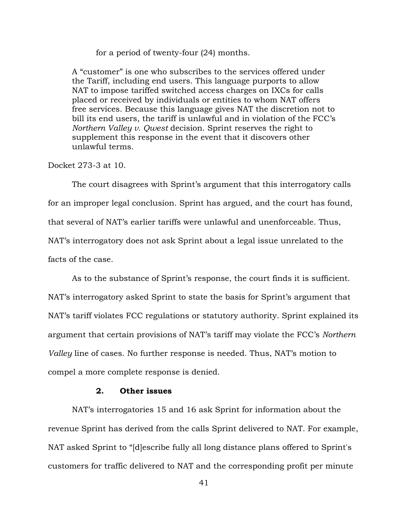for a period of twenty-four (24) months.

A "customer" is one who subscribes to the services offered under the Tariff, including end users. This language purports to allow NAT to impose tariffed switched access charges on IXCs for calls placed or received by individuals or entities to whom NAT offers free services. Because this language gives NAT the discretion not to bill its end users, the tariff is unlawful and in violation of the FCC's *Northern Valley v. Qwest* decision. Sprint reserves the right to supplement this response in the event that it discovers other unlawful terms.

Docket 273-3 at 10.

The court disagrees with Sprint's argument that this interrogatory calls for an improper legal conclusion. Sprint has argued, and the court has found, that several of NAT's earlier tariffs were unlawful and unenforceable. Thus, NAT's interrogatory does not ask Sprint about a legal issue unrelated to the facts of the case.

As to the substance of Sprint's response, the court finds it is sufficient. NAT's interrogatory asked Sprint to state the basis for Sprint's argument that NAT's tariff violates FCC regulations or statutory authority. Sprint explained its argument that certain provisions of NAT's tariff may violate the FCC's *Northern Valley* line of cases. No further response is needed. Thus, NAT's motion to compel a more complete response is denied.

# **2. Other issues**

NAT's interrogatories 15 and 16 ask Sprint for information about the revenue Sprint has derived from the calls Sprint delivered to NAT. For example, NAT asked Sprint to "[d]escribe fully all long distance plans offered to Sprint's customers for traffic delivered to NAT and the corresponding profit per minute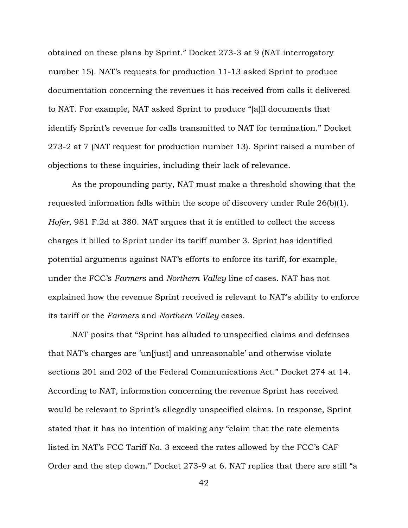obtained on these plans by Sprint." Docket 273-3 at 9 (NAT interrogatory number 15). NAT's requests for production 11-13 asked Sprint to produce documentation concerning the revenues it has received from calls it delivered to NAT. For example, NAT asked Sprint to produce "[a]ll documents that identify Sprint's revenue for calls transmitted to NAT for termination." Docket 273-2 at 7 (NAT request for production number 13). Sprint raised a number of objections to these inquiries, including their lack of relevance.

 As the propounding party, NAT must make a threshold showing that the requested information falls within the scope of discovery under Rule 26(b)(1). *Hofer*, 981 F.2d at 380. NAT argues that it is entitled to collect the access charges it billed to Sprint under its tariff number 3. Sprint has identified potential arguments against NAT's efforts to enforce its tariff, for example, under the FCC's *Farmers* and *Northern Valley* line of cases. NAT has not explained how the revenue Sprint received is relevant to NAT's ability to enforce its tariff or the *Farmers* and *Northern Valley* cases.

NAT posits that "Sprint has alluded to unspecified claims and defenses that NAT's charges are 'un[just] and unreasonable' and otherwise violate sections 201 and 202 of the Federal Communications Act." Docket 274 at 14. According to NAT, information concerning the revenue Sprint has received would be relevant to Sprint's allegedly unspecified claims. In response, Sprint stated that it has no intention of making any "claim that the rate elements listed in NAT's FCC Tariff No. 3 exceed the rates allowed by the FCC's CAF Order and the step down." Docket 273-9 at 6. NAT replies that there are still "a

42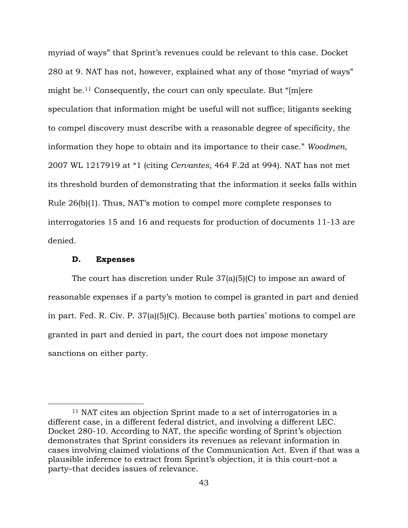myriad of ways" that Sprint's revenues could be relevant to this case. Docket 280 at 9. NAT has not, however, explained what any of those "myriad of ways" might be.11 Consequently, the court can only speculate. But "[m]ere speculation that information might be useful will not suffice; litigants seeking to compel discovery must describe with a reasonable degree of specificity, the information they hope to obtain and its importance to their case." *Woodmen*, 2007 WL 1217919 at \*1 (citing *Cervantes*, 464 F.2d at 994). NAT has not met its threshold burden of demonstrating that the information it seeks falls within Rule 26(b)(1). Thus, NAT's motion to compel more complete responses to interrogatories 15 and 16 and requests for production of documents 11-13 are denied.

#### **D. Expenses**

 $\overline{a}$ 

The court has discretion under Rule 37(a)(5)(C) to impose an award of reasonable expenses if a party's motion to compel is granted in part and denied in part. Fed. R. Civ. P. 37(a)(5)(C). Because both parties' motions to compel are granted in part and denied in part, the court does not impose monetary sanctions on either party.

<sup>11</sup> NAT cites an objection Sprint made to a set of interrogatories in a different case, in a different federal district, and involving a different LEC. Docket 280-10. According to NAT, the specific wording of Sprint's objection demonstrates that Sprint considers its revenues as relevant information in cases involving claimed violations of the Communication Act. Even if that was a plausible inference to extract from Sprint's objection, it is this court–not a party–that decides issues of relevance.